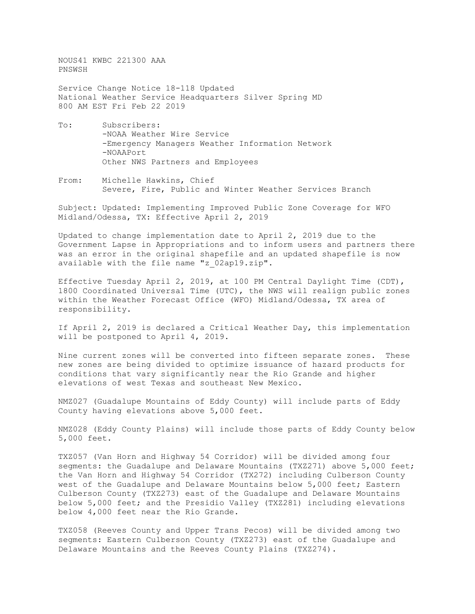NOUS41 KWBC 221300 AAA PNSWSH

Service Change Notice 18-118 Updated National Weather Service Headquarters Silver Spring MD 800 AM EST Fri Feb 22 2019

- To: Subscribers: -NOAA Weather Wire Service -Emergency Managers Weather Information Network -NOAAPort Other NWS Partners and Employees
- From: Michelle Hawkins, Chief Severe, Fire, Public and Winter Weather Services Branch

Subject: Updated: Implementing Improved Public Zone Coverage for WFO Midland/Odessa, TX: Effective April 2, 2019

Updated to change implementation date to April 2, 2019 due to the Government Lapse in Appropriations and to inform users and partners there was an error in the original shapefile and an updated shapefile is now available with the file name "z\_02ap19.zip".

Effective Tuesday April 2, 2019, at 100 PM Central Daylight Time (CDT), 1800 Coordinated Universal Time (UTC), the NWS will realign public zones within the Weather Forecast Office (WFO) Midland/Odessa, TX area of responsibility.

If April 2, 2019 is declared a Critical Weather Day, this implementation will be postponed to April 4, 2019.

Nine current zones will be converted into fifteen separate zones. These new zones are being divided to optimize issuance of hazard products for conditions that vary significantly near the Rio Grande and higher elevations of west Texas and southeast New Mexico.

NMZ027 (Guadalupe Mountains of Eddy County) will include parts of Eddy County having elevations above 5,000 feet.

NMZ028 (Eddy County Plains) will include those parts of Eddy County below 5,000 feet.

TXZ057 (Van Horn and Highway 54 Corridor) will be divided among four segments: the Guadalupe and Delaware Mountains (TXZ271) above 5,000 feet; the Van Horn and Highway 54 Corridor (TX272) including Culberson County west of the Guadalupe and Delaware Mountains below 5,000 feet; Eastern Culberson County (TXZ273) east of the Guadalupe and Delaware Mountains below 5,000 feet; and the Presidio Valley (TXZ281) including elevations below 4,000 feet near the Rio Grande.

TXZ058 (Reeves County and Upper Trans Pecos) will be divided among two segments: Eastern Culberson County (TXZ273) east of the Guadalupe and Delaware Mountains and the Reeves County Plains (TXZ274).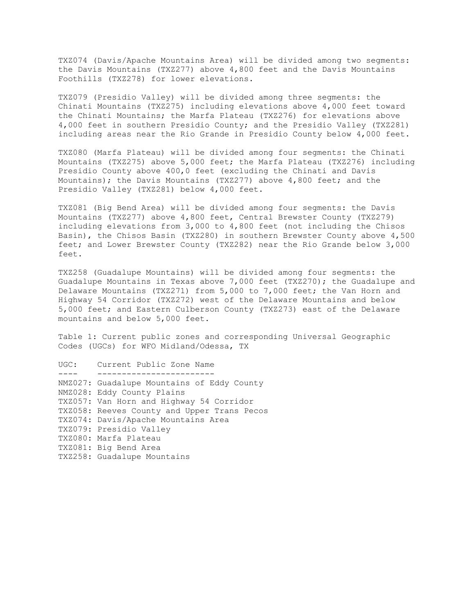TXZ074 (Davis/Apache Mountains Area) will be divided among two segments: the Davis Mountains (TXZ277) above 4,800 feet and the Davis Mountains Foothills (TXZ278) for lower elevations.

TXZ079 (Presidio Valley) will be divided among three segments: the Chinati Mountains (TXZ275) including elevations above 4,000 feet toward the Chinati Mountains; the Marfa Plateau (TXZ276) for elevations above 4,000 feet in southern Presidio County; and the Presidio Valley (TXZ281) including areas near the Rio Grande in Presidio County below 4,000 feet.

TXZ080 (Marfa Plateau) will be divided among four segments: the Chinati Mountains (TXZ275) above 5,000 feet; the Marfa Plateau (TXZ276) including Presidio County above 400,0 feet (excluding the Chinati and Davis Mountains); the Davis Mountains (TXZ277) above 4,800 feet; and the Presidio Valley (TXZ281) below 4,000 feet.

TXZ081 (Big Bend Area) will be divided among four segments: the Davis Mountains (TXZ277) above 4,800 feet, Central Brewster County (TXZ279) including elevations from 3,000 to 4,800 feet (not including the Chisos Basin), the Chisos Basin (TXZ280) in southern Brewster County above 4,500 feet; and Lower Brewster County (TXZ282) near the Rio Grande below 3,000 feet.

TXZ258 (Guadalupe Mountains) will be divided among four segments: the Guadalupe Mountains in Texas above 7,000 feet (TXZ270); the Guadalupe and Delaware Mountains (TXZ271) from 5,000 to 7,000 feet; the Van Horn and Highway 54 Corridor (TXZ272) west of the Delaware Mountains and below 5,000 feet; and Eastern Culberson County (TXZ273) east of the Delaware mountains and below 5,000 feet.

Table 1: Current public zones and corresponding Universal Geographic Codes (UGCs) for WFO Midland/Odessa, TX

UGC: Current Public Zone Name ---- ------------------------ NMZ027: Guadalupe Mountains of Eddy County NMZ028: Eddy County Plains TXZ057: Van Horn and Highway 54 Corridor TXZ058: Reeves County and Upper Trans Pecos TXZ074: Davis/Apache Mountains Area TXZ079: Presidio Valley TXZ080: Marfa Plateau TXZ081: Big Bend Area TXZ258: Guadalupe Mountains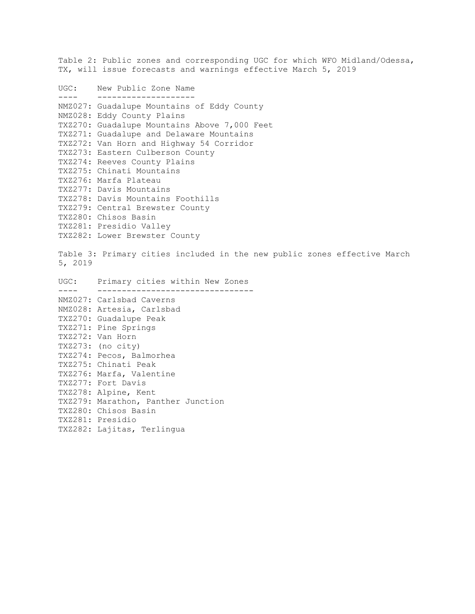Table 2: Public zones and corresponding UGC for which WFO Midland/Odessa, TX, will issue forecasts and warnings effective March 5, 2019 UGC: New Public Zone Name ---- -------------------- NMZ027: Guadalupe Mountains of Eddy County NMZ028: Eddy County Plains TXZ270: Guadalupe Mountains Above 7,000 Feet TXZ271: Guadalupe and Delaware Mountains TXZ272: Van Horn and Highway 54 Corridor TXZ273: Eastern Culberson County TXZ274: Reeves County Plains TXZ275: Chinati Mountains TXZ276: Marfa Plateau TXZ277: Davis Mountains TXZ278: Davis Mountains Foothills TXZ279: Central Brewster County TXZ280: Chisos Basin TXZ281: Presidio Valley TXZ282: Lower Brewster County Table 3: Primary cities included in the new public zones effective March 5, 2019 UGC: Primary cities within New Zones ---- -------------------------------- NMZ027: Carlsbad Caverns NMZ028: Artesia, Carlsbad TXZ270: Guadalupe Peak TXZ271: Pine Springs TXZ272: Van Horn TXZ273: (no city) TXZ274: Pecos, Balmorhea TXZ275: Chinati Peak TXZ276: Marfa, Valentine TXZ277: Fort Davis TXZ278: Alpine, Kent TXZ279: Marathon, Panther Junction TXZ280: Chisos Basin TXZ281: Presidio TXZ282: Lajitas, Terlingua